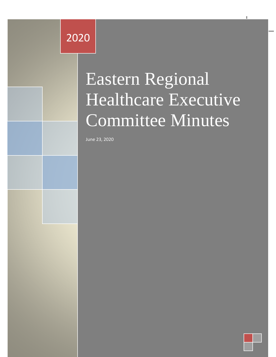# Eastern Regional Healthcare 2020

## Executive Committee Committee Committee Committee Committee Committee Committee Committee Committee Committee Minutes Eastern Regional Healthcare Executive Committee Minutes

Eastern Regional Healthcare Executive Committee Minutes 2020

June 23, 2020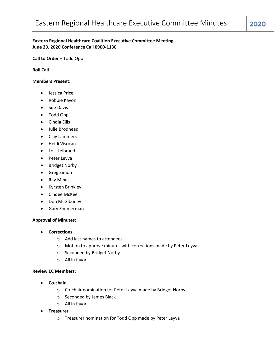## **Eastern Regional Healthcare Coalition Executive Committee Meeting June 23, 2020 Conference Call 0900-1130**

**Call to Order** – Todd Opp

**Roll Call**

#### **Members Present:**

- Jessica Price
- Robbie Kavon
- Sue Davis
- Todd Opp
- Cindia Ellis
- Julie Brodhead
- Clay Lammers
- Heidi Visocan
- Lois Leibrand
- Peter Leyva
- Bridget Norby
- Greg Simon
- Ray Mines
- Kyrsten Brinkley
- Cindee McKee
- Don McGiboney
- Gary Zimmerman

#### **Approval of Minutes:**

- **Corrections**
	- o Add last names to attendees
	- o Motion to approve minutes with corrections made by Peter Leyva
	- o Seconded by Bridget Norby
	- o All in favor

#### **Review EC Members:**

- **Co-chair**
	- o Co-chair nomination for Peter Leyva made by Bridget Norby.
	- o Seconded by James Black
	- $\circ$  All in favor
- **Treasurer**
	- o Treasurer nomination for Todd Opp made by Peter Leyva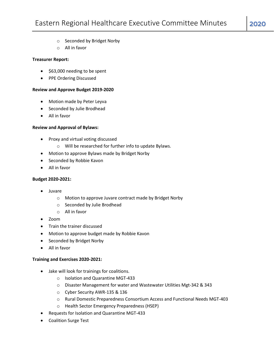- o Seconded by Bridget Norby
- o All in favor

#### **Treasurer Report:**

- \$63,000 needing to be spent
- PPE Ordering Discussed

#### **Review and Approve Budget 2019-2020**

- Motion made by Peter Leyva
- Seconded by Julie Brodhead
- All in favor

#### **Review and Approval of Bylaws:**

- Proxy and virtual voting discussed
	- o Will be researched for further info to update Bylaws.
- Motion to approve Bylaws made by Bridget Norby
- Seconded by Robbie Kavon
- All in favor

#### **Budget 2020-2021:**

- Juvare
	- o Motion to approve Juvare contract made by Bridget Norby
	- o Seconded by Julie Brodhead
	- $\circ$  All in favor
- Zoom
- Train the trainer discussed
- Motion to approve budget made by Robbie Kavon
- Seconded by Bridget Norby
- All in favor

#### **Training and Exercises 2020-2021:**

- Jake will look for trainings for coalitions.
	- o Isolation and Quarantine MGT-433
	- o Disaster Management for water and Wastewater Utilities Mgt-342 & 343
	- o Cyber Security AWR-135 & 136
	- o Rural Domestic Preparedness Consortium Access and Functional Needs MGT-403
	- o Health Sector Emergency Preparedness (HSEP)
- Requests for Isolation and Quarantine MGT-433
- Coalition Surge Test